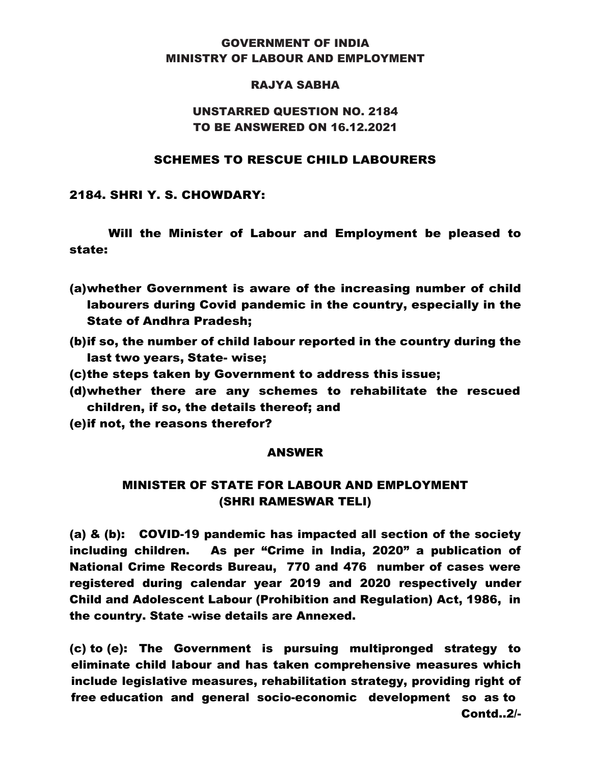### GOVERNMENT OF INDIA MINISTRY OF LABOUR AND EMPLOYMENT

#### RAJYA SABHA

## UNSTARRED QUESTION NO. 2184 TO BE ANSWERED ON 16.12.2021

#### SCHEMES TO RESCUE CHILD LABOURERS

2184. SHRI Y. S. CHOWDARY:

Will the Minister of Labour and Employment be pleased to state:

- (a)whether Government is aware of the increasing number of child labourers during Covid pandemic in the country, especially in the State of Andhra Pradesh;
- (b)if so, the number of child labour reported in the country during the last two years, State- wise;
- (c)the steps taken by Government to address this issue;
- (d)whether there are any schemes to rehabilitate the rescued children, if so, the details thereof; and
- (e)if not, the reasons therefor?

#### ANSWER

# MINISTER OF STATE FOR LABOUR AND EMPLOYMENT (SHRI RAMESWAR TELI)

(a) & (b): COVID-19 pandemic has impacted all section of the society including children. As per "Crime in India, 2020" a publication of National Crime Records Bureau, 770 and 476 number of cases were registered during calendar year 2019 and 2020 respectively under Child and Adolescent Labour (Prohibition and Regulation) Act, 1986, in the country. State -wise details are Annexed.

(c) to (e): The Government is pursuing multipronged strategy to eliminate child labour and has taken comprehensive measures which include legislative measures, rehabilitation strategy, providing right of free education and general socio-economic development so as to Contd..2/-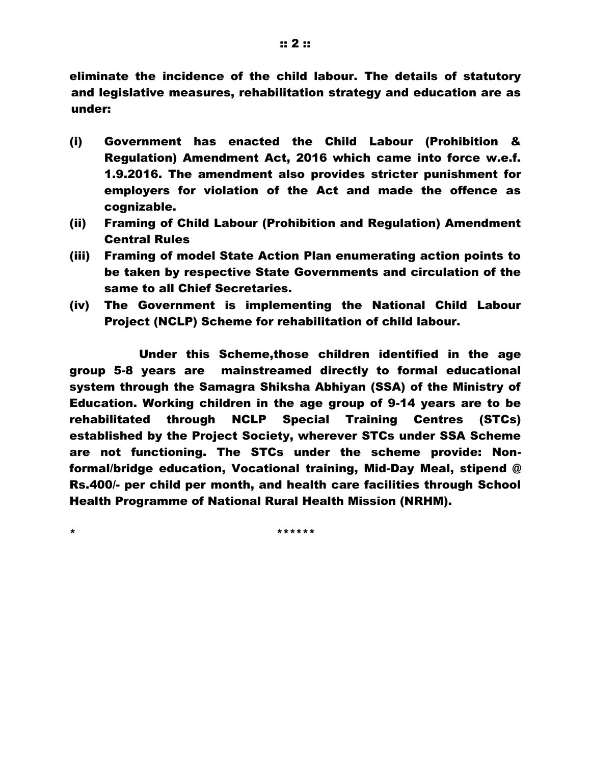eliminate the incidence of the child labour. The details of statutory and legislative measures, rehabilitation strategy and education are as under:

- (i) Government has enacted the Child Labour (Prohibition & Regulation) Amendment Act, 2016 which came into force w.e.f. 1.9.2016. The amendment also provides stricter punishment for employers for violation of the Act and made the offence as cognizable.
- (ii) Framing of Child Labour (Prohibition and Regulation) Amendment Central Rules
- (iii) Framing of model State Action Plan enumerating action points to be taken by respective State Governments and circulation of the same to all Chief Secretaries.
- (iv) The Government is implementing the National Child Labour Project (NCLP) Scheme for rehabilitation of child labour.

 Under this Scheme,those children identified in the age group 5-8 years are mainstreamed directly to formal educational system through the Samagra Shiksha Abhiyan (SSA) of the Ministry of Education. Working children in the age group of 9-14 years are to be rehabilitated through NCLP Special Training Centres (STCs) established by the Project Society, wherever STCs under SSA Scheme are not functioning. The STCs under the scheme provide: Nonformal/bridge education, Vocational training, Mid-Day Meal, stipend @ Rs.400/- per child per month, and health care facilities through School Health Programme of National Rural Health Mission (NRHM).

\* \*\*\*\*\*\*